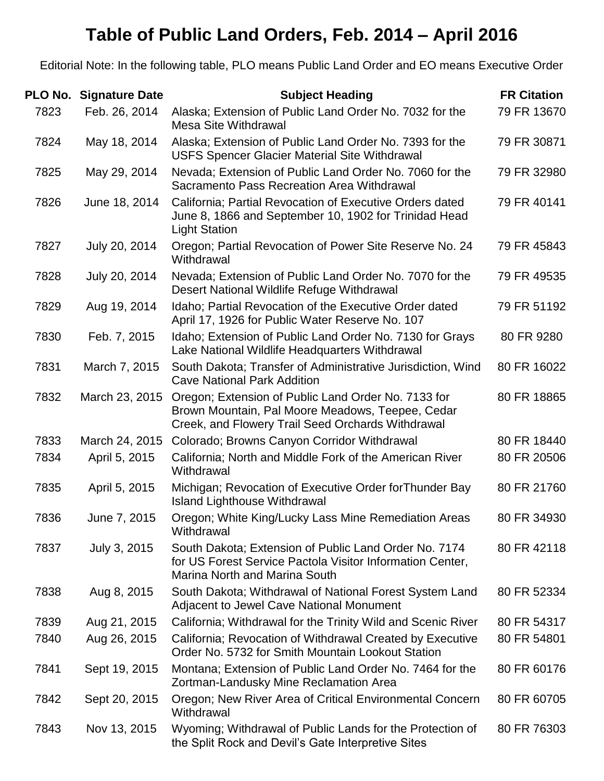## **Table of Public Land Orders, Feb. 2014 – April 2016**

Editorial Note: In the following table, PLO means Public Land Order and EO means Executive Order

| <b>PLO No.</b> | <b>Signature Date</b> | <b>Subject Heading</b>                                                                                                                                       | <b>FR Citation</b> |
|----------------|-----------------------|--------------------------------------------------------------------------------------------------------------------------------------------------------------|--------------------|
| 7823           | Feb. 26, 2014         | Alaska; Extension of Public Land Order No. 7032 for the<br><b>Mesa Site Withdrawal</b>                                                                       | 79 FR 13670        |
| 7824           | May 18, 2014          | Alaska; Extension of Public Land Order No. 7393 for the<br><b>USFS Spencer Glacier Material Site Withdrawal</b>                                              | 79 FR 30871        |
| 7825           | May 29, 2014          | Nevada; Extension of Public Land Order No. 7060 for the<br>Sacramento Pass Recreation Area Withdrawal                                                        | 79 FR 32980        |
| 7826           | June 18, 2014         | California; Partial Revocation of Executive Orders dated<br>June 8, 1866 and September 10, 1902 for Trinidad Head<br><b>Light Station</b>                    | 79 FR 40141        |
| 7827           | July 20, 2014         | Oregon; Partial Revocation of Power Site Reserve No. 24<br>Withdrawal                                                                                        | 79 FR 45843        |
| 7828           | July 20, 2014         | Nevada; Extension of Public Land Order No. 7070 for the<br>Desert National Wildlife Refuge Withdrawal                                                        | 79 FR 49535        |
| 7829           | Aug 19, 2014          | Idaho; Partial Revocation of the Executive Order dated<br>April 17, 1926 for Public Water Reserve No. 107                                                    | 79 FR 51192        |
| 7830           | Feb. 7, 2015          | Idaho; Extension of Public Land Order No. 7130 for Grays<br>Lake National Wildlife Headquarters Withdrawal                                                   | 80 FR 9280         |
| 7831           | March 7, 2015         | South Dakota; Transfer of Administrative Jurisdiction, Wind<br><b>Cave National Park Addition</b>                                                            | 80 FR 16022        |
| 7832           | March 23, 2015        | Oregon; Extension of Public Land Order No. 7133 for<br>Brown Mountain, Pal Moore Meadows, Teepee, Cedar<br>Creek, and Flowery Trail Seed Orchards Withdrawal | 80 FR 18865        |
| 7833           | March 24, 2015        | Colorado; Browns Canyon Corridor Withdrawal                                                                                                                  | 80 FR 18440        |
| 7834           | April 5, 2015         | California; North and Middle Fork of the American River<br>Withdrawal                                                                                        | 80 FR 20506        |
| 7835           | April 5, 2015         | Michigan; Revocation of Executive Order for Thunder Bay<br><b>Island Lighthouse Withdrawal</b>                                                               | 80 FR 21760        |
| 7836           | June 7, 2015          | Oregon; White King/Lucky Lass Mine Remediation Areas<br>Withdrawal                                                                                           | 80 FR 34930        |
| 7837           | July 3, 2015          | South Dakota; Extension of Public Land Order No. 7174<br>for US Forest Service Pactola Visitor Information Center,<br><b>Marina North and Marina South</b>   | 80 FR 42118        |
| 7838           | Aug 8, 2015           | South Dakota; Withdrawal of National Forest System Land<br><b>Adjacent to Jewel Cave National Monument</b>                                                   | 80 FR 52334        |
| 7839           | Aug 21, 2015          | California; Withdrawal for the Trinity Wild and Scenic River                                                                                                 | 80 FR 54317        |
| 7840           | Aug 26, 2015          | California; Revocation of Withdrawal Created by Executive<br>Order No. 5732 for Smith Mountain Lookout Station                                               | 80 FR 54801        |
| 7841           | Sept 19, 2015         | Montana; Extension of Public Land Order No. 7464 for the<br>Zortman-Landusky Mine Reclamation Area                                                           | 80 FR 60176        |
| 7842           | Sept 20, 2015         | Oregon; New River Area of Critical Environmental Concern<br>Withdrawal                                                                                       | 80 FR 60705        |
| 7843           | Nov 13, 2015          | Wyoming; Withdrawal of Public Lands for the Protection of<br>the Split Rock and Devil's Gate Interpretive Sites                                              | 80 FR 76303        |